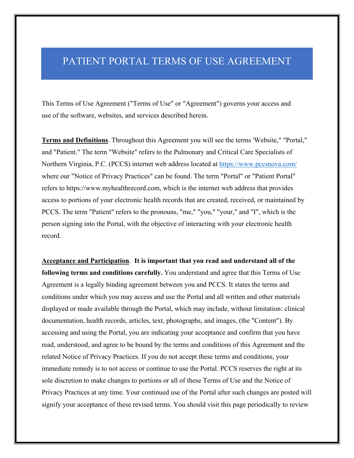## PATIENT PORTAL TERMS OF USE AGREEMENT

This Terms of Use Agreement ("Terms of Use" or "Agreement") governs your access and use of the software, websites, and services described herein.

**Terms and Definitions**. Throughout this Agreement you will see the terms 'Website," "Portal," and "Patient." The term "Website" refers to the Pulmonary and Critical Care Specialists of Northern Virginia, P.C. (PCCS) internet web address located at https://www.pccsnova.com/ where our "Notice of Privacy Practices" can be found. The term "Portal" or "Patient Portal" refers to https://www.myhealthrecord.com, which is the internet web address that provides access to portions of your electronic health records that are created, received, or maintained by PCCS. The term "Patient" refers to the pronouns, "me," "you," "your," and "I", which is the person signing into the Portal, with the objective of interacting with your electronic health record.

**Acceptance and Participation**. **It is important that you read and understand all of the following terms and conditions carefully.** You understand and agree that this Terms of Use Agreement is a legally binding agreement between you and PCCS. It states the terms and conditions under which you may access and use the Portal and all written and other materials displayed or made available through the Portal, which may include, without limitation: clinical documentation, health records, articles, text, photographs, and images, (the "Content"). By accessing and using the Portal, you are indicating your acceptance and confirm that you have read, understood, and agree to be bound by the terms and conditions of this Agreement and the related Notice of Privacy Practices. If you do not accept these terms and conditions, your immediate remedy is to not access or continue to use the Portal. PCCS reserves the right at its sole discretion to make changes to portions or all of these Terms of Use and the Notice of Privacy Practices at any time. Your continued use of the Portal after such changes are posted will signify your acceptance of these revised terms. You should visit this page periodically to review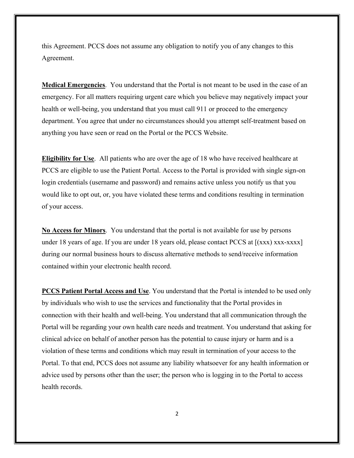this Agreement. PCCS does not assume any obligation to notify you of any changes to this Agreement.

**Medical Emergencies**. You understand that the Portal is not meant to be used in the case of an emergency. For all matters requiring urgent care which you believe may negatively impact your health or well-being, you understand that you must call 911 or proceed to the emergency department. You agree that under no circumstances should you attempt self-treatment based on anything you have seen or read on the Portal or the PCCS Website.

**Eligibility for Use**. All patients who are over the age of 18 who have received healthcare at PCCS are eligible to use the Patient Portal. Access to the Portal is provided with single sign-on login credentials (username and password) and remains active unless you notify us that you would like to opt out, or, you have violated these terms and conditions resulting in termination of your access.

**No Access for Minors**. You understand that the portal is not available for use by persons under 18 years of age. If you are under 18 years old, please contact PCCS at  $[(xxx)$  xxx-xxxx] during our normal business hours to discuss alternative methods to send/receive information contained within your electronic health record.

**PCCS Patient Portal Access and Use**. You understand that the Portal is intended to be used only by individuals who wish to use the services and functionality that the Portal provides in connection with their health and well-being. You understand that all communication through the Portal will be regarding your own health care needs and treatment. You understand that asking for clinical advice on behalf of another person has the potential to cause injury or harm and is a violation of these terms and conditions which may result in termination of your access to the Portal. To that end, PCCS does not assume any liability whatsoever for any health information or advice used by persons other than the user; the person who is logging in to the Portal to access health records.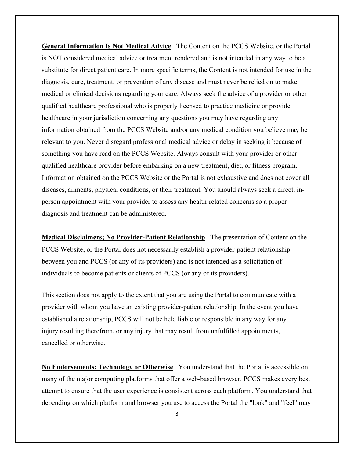**General Information Is Not Medical Advice**.The Content on the PCCS Website, or the Portal is NOT considered medical advice or treatment rendered and is not intended in any way to be a substitute for direct patient care. In more specific terms, the Content is not intended for use in the diagnosis, cure, treatment, or prevention of any disease and must never be relied on to make medical or clinical decisions regarding your care. Always seek the advice of a provider or other qualified healthcare professional who is properly licensed to practice medicine or provide healthcare in your jurisdiction concerning any questions you may have regarding any information obtained from the PCCS Website and/or any medical condition you believe may be relevant to you. Never disregard professional medical advice or delay in seeking it because of something you have read on the PCCS Website. Always consult with your provider or other qualified healthcare provider before embarking on a new treatment, diet, or fitness program. Information obtained on the PCCS Website or the Portal is not exhaustive and does not cover all diseases, ailments, physical conditions, or their treatment. You should always seek a direct, inperson appointment with your provider to assess any health-related concerns so a proper diagnosis and treatment can be administered.

**Medical Disclaimers; No Provider-Patient Relationship**. The presentation of Content on the PCCS Website, or the Portal does not necessarily establish a provider-patient relationship between you and PCCS (or any of its providers) and is not intended as a solicitation of individuals to become patients or clients of PCCS (or any of its providers).

This section does not apply to the extent that you are using the Portal to communicate with a provider with whom you have an existing provider-patient relationship. In the event you have established a relationship, PCCS will not be held liable or responsible in any way for any injury resulting therefrom, or any injury that may result from unfulfilled appointments, cancelled or otherwise.

**No Endorsements; Technology or Otherwise**.You understand that the Portal is accessible on many of the major computing platforms that offer a web-based browser. PCCS makes every best attempt to ensure that the user experience is consistent across each platform. You understand that depending on which platform and browser you use to access the Portal the "look" and "feel" may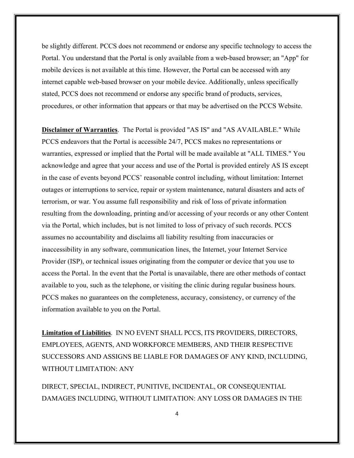be slightly different. PCCS does not recommend or endorse any specific technology to access the Portal. You understand that the Portal is only available from a web-based browser; an "App" for mobile devices is not available at this time. However, the Portal can be accessed with any internet capable web-based browser on your mobile device. Additionally, unless specifically stated, PCCS does not recommend or endorse any specific brand of products, services, procedures, or other information that appears or that may be advertised on the PCCS Website.

**Disclaimer of Warranties**.The Portal is provided "AS IS" and "AS AVAILABLE." While PCCS endeavors that the Portal is accessible 24/7, PCCS makes no representations or warranties, expressed or implied that the Portal will be made available at "ALL TIMES." You acknowledge and agree that your access and use of the Portal is provided entirely AS IS except in the case of events beyond PCCS' reasonable control including, without limitation: Internet outages or interruptions to service, repair or system maintenance, natural disasters and acts of terrorism, or war. You assume full responsibility and risk of loss of private information resulting from the downloading, printing and/or accessing of your records or any other Content via the Portal, which includes, but is not limited to loss of privacy of such records. PCCS assumes no accountability and disclaims all liability resulting from inaccuracies or inaccessibility in any software, communication lines, the Internet, your Internet Service Provider (ISP), or technical issues originating from the computer or device that you use to access the Portal. In the event that the Portal is unavailable, there are other methods of contact available to you, such as the telephone, or visiting the clinic during regular business hours. PCCS makes no guarantees on the completeness, accuracy, consistency, or currency of the information available to you on the Portal.

**Limitation of Liabilities**. IN NO EVENT SHALL PCCS, ITS PROVIDERS, DIRECTORS, EMPLOYEES, AGENTS, AND WORKFORCE MEMBERS, AND THEIR RESPECTIVE SUCCESSORS AND ASSIGNS BE LIABLE FOR DAMAGES OF ANY KIND, INCLUDING, WITHOUT LIMITATION: ANY

DIRECT, SPECIAL, INDIRECT, PUNITIVE, INCIDENTAL, OR CONSEQUENTIAL DAMAGES INCLUDING, WITHOUT LIMITATION: ANY LOSS OR DAMAGES IN THE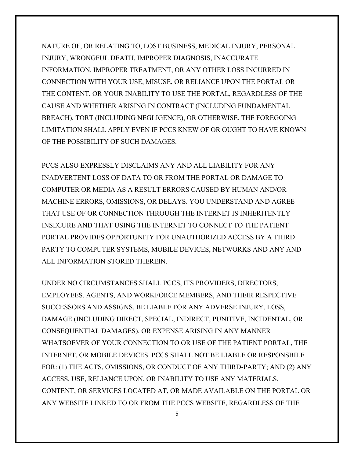NATURE OF, OR RELATING TO, LOST BUSINESS, MEDICAL INJURY, PERSONAL INJURY, WRONGFUL DEATH, IMPROPER DIAGNOSIS, INACCURATE INFORMATION, IMPROPER TREATMENT, OR ANY OTHER LOSS INCURRED IN CONNECTION WITH YOUR USE, MISUSE, OR RELIANCE UPON THE PORTAL OR THE CONTENT, OR YOUR INABILITY TO USE THE PORTAL, REGARDLESS OF THE CAUSE AND WHETHER ARISING IN CONTRACT (INCLUDING FUNDAMENTAL BREACH), TORT (INCLUDING NEGLIGENCE), OR OTHERWISE. THE FOREGOING LIMITATION SHALL APPLY EVEN IF PCCS KNEW OF OR OUGHT TO HAVE KNOWN OF THE POSSIBILITY OF SUCH DAMAGES.

PCCS ALSO EXPRESSLY DISCLAIMS ANY AND ALL LIABILITY FOR ANY INADVERTENT LOSS OF DATA TO OR FROM THE PORTAL OR DAMAGE TO COMPUTER OR MEDIA AS A RESULT ERRORS CAUSED BY HUMAN AND/OR MACHINE ERRORS, OMISSIONS, OR DELAYS. YOU UNDERSTAND AND AGREE THAT USE OF OR CONNECTION THROUGH THE INTERNET IS INHERITENTLY INSECURE AND THAT USING THE INTERNET TO CONNECT TO THE PATIENT PORTAL PROVIDES OPPORTUNITY FOR UNAUTHORIZED ACCESS BY A THIRD PARTY TO COMPUTER SYSTEMS, MOBILE DEVICES, NETWORKS AND ANY AND ALL INFORMATION STORED THEREIN.

UNDER NO CIRCUMSTANCES SHALL PCCS, ITS PROVIDERS, DIRECTORS, EMPLOYEES, AGENTS, AND WORKFORCE MEMBERS, AND THEIR RESPECTIVE SUCCESSORS AND ASSIGNS, BE LIABLE FOR ANY ADVERSE INJURY, LOSS, DAMAGE (INCLUDING DIRECT, SPECIAL, INDIRECT, PUNITIVE, INCIDENTAL, OR CONSEQUENTIAL DAMAGES), OR EXPENSE ARISING IN ANY MANNER WHATSOEVER OF YOUR CONNECTION TO OR USE OF THE PATIENT PORTAL, THE INTERNET, OR MOBILE DEVICES. PCCS SHALL NOT BE LIABLE OR RESPONSBILE FOR: (1) THE ACTS, OMISSIONS, OR CONDUCT OF ANY THIRD-PARTY; AND (2) ANY ACCESS, USE, RELIANCE UPON, OR INABILITY TO USE ANY MATERIALS, CONTENT, OR SERVICES LOCATED AT, OR MADE AVAILABLE ON THE PORTAL OR ANY WEBSITE LINKED TO OR FROM THE PCCS WEBSITE, REGARDLESS OF THE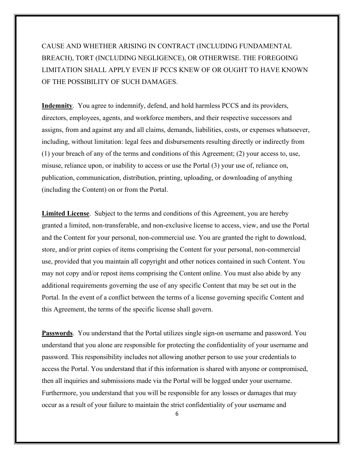## CAUSE AND WHETHER ARISING IN CONTRACT (INCLUDING FUNDAMENTAL BREACH), TORT (INCLUDING NEGLIGENCE), OR OTHERWISE. THE FOREGOING LIMITATION SHALL APPLY EVEN IF PCCS KNEW OF OR OUGHT TO HAVE KNOWN OF THE POSSIBILITY OF SUCH DAMAGES.

**Indemnity**. You agree to indemnify, defend, and hold harmless PCCS and its providers, directors, employees, agents, and workforce members, and their respective successors and assigns, from and against any and all claims, demands, liabilities, costs, or expenses whatsoever, including, without limitation: legal fees and disbursements resulting directly or indirectly from (1) your breach of any of the terms and conditions of this Agreement; (2) your access to, use, misuse, reliance upon, or inability to access or use the Portal (3) your use of, reliance on, publication, communication, distribution, printing, uploading, or downloading of anything (including the Content) on or from the Portal.

**Limited License**.Subject to the terms and conditions of this Agreement, you are hereby granted a limited, non-transferable, and non-exclusive license to access, view, and use the Portal and the Content for your personal, non-commercial use. You are granted the right to download, store, and/or print copies of items comprising the Content for your personal, non-commercial use, provided that you maintain all copyright and other notices contained in such Content. You may not copy and/or repost items comprising the Content online. You must also abide by any additional requirements governing the use of any specific Content that may be set out in the Portal. In the event of a conflict between the terms of a license governing specific Content and this Agreement, the terms of the specific license shall govern.

**Passwords**. You understand that the Portal utilizes single sign-on username and password. You understand that you alone are responsible for protecting the confidentiality of your username and password. This responsibility includes not allowing another person to use your credentials to access the Portal. You understand that if this information is shared with anyone or compromised, then all inquiries and submissions made via the Portal will be logged under your username. Furthermore, you understand that you will be responsible for any losses or damages that may occur as a result of your failure to maintain the strict confidentiality of your username and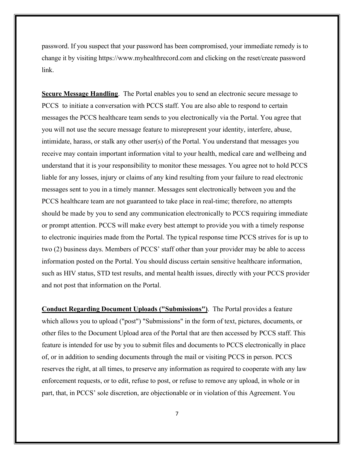password. If you suspect that your password has been compromised, your immediate remedy is to change it by visiting https://www.myhealthrecord.com and clicking on the reset/create password link.

**Secure Message Handling**.The Portal enables you to send an electronic secure message to PCCS to initiate a conversation with PCCS staff. You are also able to respond to certain messages the PCCS healthcare team sends to you electronically via the Portal. You agree that you will not use the secure message feature to misrepresent your identity, interfere, abuse, intimidate, harass, or stalk any other user(s) of the Portal. You understand that messages you receive may contain important information vital to your health, medical care and wellbeing and understand that it is your responsibility to monitor these messages. You agree not to hold PCCS liable for any losses, injury or claims of any kind resulting from your failure to read electronic messages sent to you in a timely manner. Messages sent electronically between you and the PCCS healthcare team are not guaranteed to take place in real-time; therefore, no attempts should be made by you to send any communication electronically to PCCS requiring immediate or prompt attention. PCCS will make every best attempt to provide you with a timely response to electronic inquiries made from the Portal. The typical response time PCCS strives for is up to two (2) business days. Members of PCCS' staff other than your provider may be able to access information posted on the Portal. You should discuss certain sensitive healthcare information, such as HIV status, STD test results, and mental health issues, directly with your PCCS provider and not post that information on the Portal.

**Conduct Regarding Document Uploads ("Submissions")**.The Portal provides a feature which allows you to upload ("post") "Submissions" in the form of text, pictures, documents, or other files to the Document Upload area of the Portal that are then accessed by PCCS staff. This feature is intended for use by you to submit files and documents to PCCS electronically in place of, or in addition to sending documents through the mail or visiting PCCS in person. PCCS reserves the right, at all times, to preserve any information as required to cooperate with any law enforcement requests, or to edit, refuse to post, or refuse to remove any upload, in whole or in part, that, in PCCS' sole discretion, are objectionable or in violation of this Agreement. You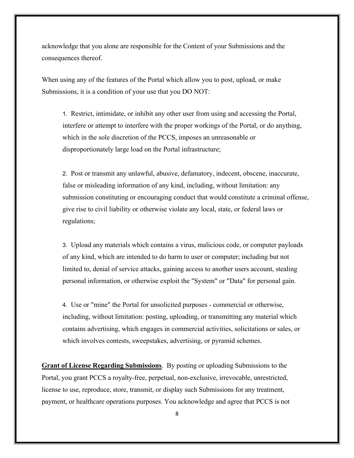acknowledge that you alone are responsible for the Content of your Submissions and the consequences thereof.

When using any of the features of the Portal which allow you to post, upload, or make Submissions, it is a condition of your use that you DO NOT:

1. Restrict, intimidate, or inhibit any other user from using and accessing the Portal, interfere or attempt to interfere with the proper workings of the Portal, or do anything, which in the sole discretion of the PCCS, imposes an unreasonable or disproportionately large load on the Portal infrastructure;

2. Post or transmit any unlawful, abusive, defamatory, indecent, obscene, inaccurate, false or misleading information of any kind, including, without limitation: any submission constituting or encouraging conduct that would constitute a criminal offense, give rise to civil liability or otherwise violate any local, state, or federal laws or regulations;

3. Upload any materials which contains a virus, malicious code, or computer payloads of any kind, which are intended to do harm to user or computer; including but not limited to, denial of service attacks, gaining access to another users account, stealing personal information, or otherwise exploit the "System" or "Data" for personal gain.

4. Use or "mine" the Portal for unsolicited purposes - commercial or otherwise, including, without limitation: posting, uploading, or transmitting any material which contains advertising, which engages in commercial activities, solicitations or sales, or which involves contests, sweepstakes, advertising, or pyramid schemes.

**Grant of License Regarding Submissions**. By posting or uploading Submissions to the Portal, you grant PCCS a royalty-free, perpetual, non-exclusive, irrevocable, unrestricted, license to use, reproduce, store, transmit, or display such Submissions for any treatment, payment, or healthcare operations purposes. You acknowledge and agree that PCCS is not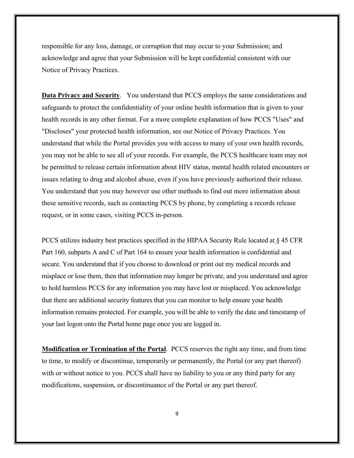responsible for any loss, damage, or corruption that may occur to your Submission; and acknowledge and agree that your Submission will be kept confidential consistent with our Notice of Privacy Practices.

**Data Privacy and Security**.You understand that PCCS employs the same considerations and safeguards to protect the confidentiality of your online health information that is given to your health records in any other format. For a more complete explanation of how PCCS "Uses" and "Discloses" your protected health information, see our Notice of Privacy Practices. You understand that while the Portal provides you with access to many of your own health records, you may not be able to see all of your records. For example, the PCCS healthcare team may not be permitted to release certain information about HIV status, mental health related encounters or issues relating to drug and alcohol abuse, even if you have previously authorized their release. You understand that you may however use other methods to find out more information about these sensitive records, such as contacting PCCS by phone, by completing a records release request, or in some cases, visiting PCCS in-person.

PCCS utilizes industry best practices specified in the HIPAA Security Rule located at § 45 CFR Part 160, subparts A and C of Part 164 to ensure your health information is confidential and secure. You understand that if you choose to download or print out my medical records and misplace or lose them, then that information may longer be private, and you understand and agree to hold harmless PCCS for any information you may have lost or misplaced. You acknowledge that there are additional security features that you can monitor to help ensure your health information remains protected. For example, you will be able to verify the date and timestamp of your last logon onto the Portal home page once you are logged in.

**Modification or Termination of the Portal**.PCCS reserves the right any time, and from time to time, to modify or discontinue, temporarily or permanently, the Portal (or any part thereof) with or without notice to you. PCCS shall have no liability to you or any third party for any modifications, suspension, or discontinuance of the Portal or any part thereof.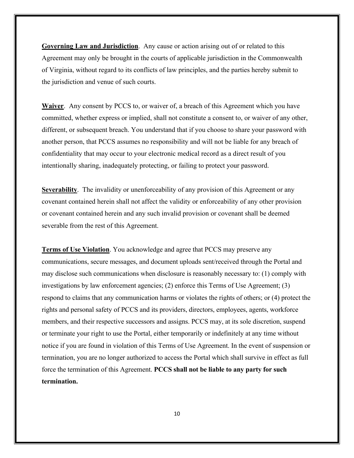**Governing Law and Jurisdiction**.Any cause or action arising out of or related to this Agreement may only be brought in the courts of applicable jurisdiction in the Commonwealth of Virginia, without regard to its conflicts of law principles, and the parties hereby submit to the jurisdiction and venue of such courts.

**Waiver**. Any consent by PCCS to, or waiver of, a breach of this Agreement which you have committed, whether express or implied, shall not constitute a consent to, or waiver of any other, different, or subsequent breach. You understand that if you choose to share your password with another person, that PCCS assumes no responsibility and will not be liable for any breach of confidentiality that may occur to your electronic medical record as a direct result of you intentionally sharing, inadequately protecting, or failing to protect your password.

**Severability**. The invalidity or unenforceability of any provision of this Agreement or any covenant contained herein shall not affect the validity or enforceability of any other provision or covenant contained herein and any such invalid provision or covenant shall be deemed severable from the rest of this Agreement.

**Terms of Use Violation**. You acknowledge and agree that PCCS may preserve any communications, secure messages, and document uploads sent/received through the Portal and may disclose such communications when disclosure is reasonably necessary to: (1) comply with investigations by law enforcement agencies; (2) enforce this Terms of Use Agreement; (3) respond to claims that any communication harms or violates the rights of others; or (4) protect the rights and personal safety of PCCS and its providers, directors, employees, agents, workforce members, and their respective successors and assigns. PCCS may, at its sole discretion, suspend or terminate your right to use the Portal, either temporarily or indefinitely at any time without notice if you are found in violation of this Terms of Use Agreement. In the event of suspension or termination, you are no longer authorized to access the Portal which shall survive in effect as full force the termination of this Agreement. **PCCS shall not be liable to any party for such termination.**

10